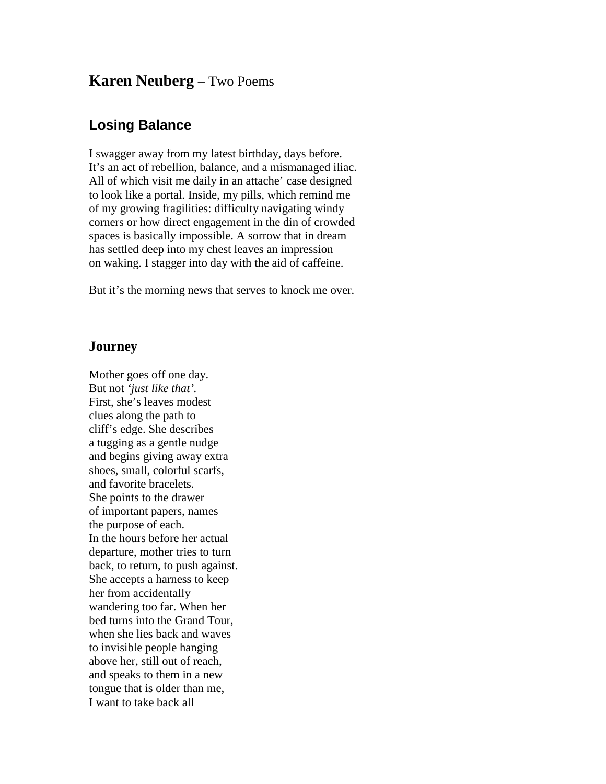## **Karen Neuberg** – Two Poems

## **Losing Balance**

I swagger away from my latest birthday, days before. It's an act of rebellion, balance, and a mismanaged iliac. All of which visit me daily in an attache' case designed to look like a portal. Inside, my pills, which remind me of my growing fragilities: difficulty navigating windy corners or how direct engagement in the din of crowded spaces is basically impossible. A sorrow that in dream has settled deep into my chest leaves an impression on waking. I stagger into day with the aid of caffeine.

But it's the morning news that serves to knock me over.

## **Journey**

Mother goes off one day. But not *'just like that'.* First, she's leaves modest clues along the path to cliff's edge. She describes a tugging as a gentle nudge and begins giving away extra shoes, small, colorful scarfs, and favorite bracelets. She points to the drawer of important papers, names the purpose of each. In the hours before her actual departure, mother tries to turn back, to return, to push against. She accepts a harness to keep her from accidentally wandering too far. When her bed turns into the Grand Tour, when she lies back and waves to invisible people hanging above her, still out of reach, and speaks to them in a new tongue that is older than me, I want to take back all